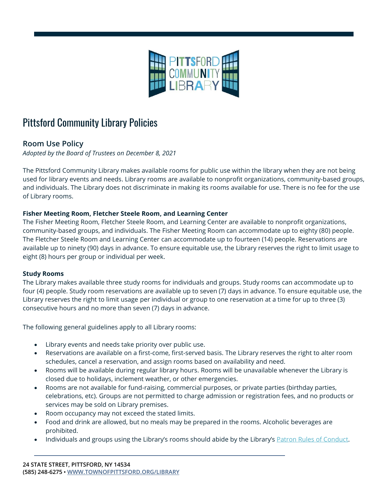

## Pittsford Community Library Policies

## **Room Use Policy**

*Adopted by the Board of Trustees on December 8, 2021*

The Pittsford Community Library makes available rooms for public use within the library when they are not being used for library events and needs. Library rooms are available to nonprofit organizations, community-based groups, and individuals. The Library does not discriminate in making its rooms available for use. There is no fee for the use of Library rooms.

## **Fisher Meeting Room, Fletcher Steele Room, and Learning Center**

The Fisher Meeting Room, Fletcher Steele Room, and Learning Center are available to nonprofit organizations, community-based groups, and individuals. The Fisher Meeting Room can accommodate up to eighty (80) people. The Fletcher Steele Room and Learning Center can accommodate up to fourteen (14) people. Reservations are available up to ninety (90) days in advance. To ensure equitable use, the Library reserves the right to limit usage to eight (8) hours per group or individual per week.

## **Study Rooms**

The Library makes available three study rooms for individuals and groups. Study rooms can accommodate up to four (4) people. Study room reservations are available up to seven (7) days in advance. To ensure equitable use, the Library reserves the right to limit usage per individual or group to one reservation at a time for up to three (3) consecutive hours and no more than seven (7) days in advance.

The following general guidelines apply to all Library rooms:

- Library events and needs take priority over public use.
- Reservations are available on a first-come, first-served basis. The Library reserves the right to alter room schedules, cancel a reservation, and assign rooms based on availability and need.
- Rooms will be available during regular library hours. Rooms will be unavailable whenever the Library is closed due to holidays, inclement weather, or other emergencies.
- Rooms are not available for fund-raising, commercial purposes, or private parties (birthday parties, celebrations, etc). Groups are not permitted to charge admission or registration fees, and no products or services may be sold on Library premises.
- Room occupancy may not exceed the stated limits.
- Food and drink are allowed, but no meals may be prepared in the rooms. Alcoholic beverages are prohibited.
- Individuals and groups using the Library's rooms should abide by the Library's [Patron Rules of Conduct.](https://www.townofpittsford.org/files/library/docs/Patron_Rules_of_Conduct.pdf)